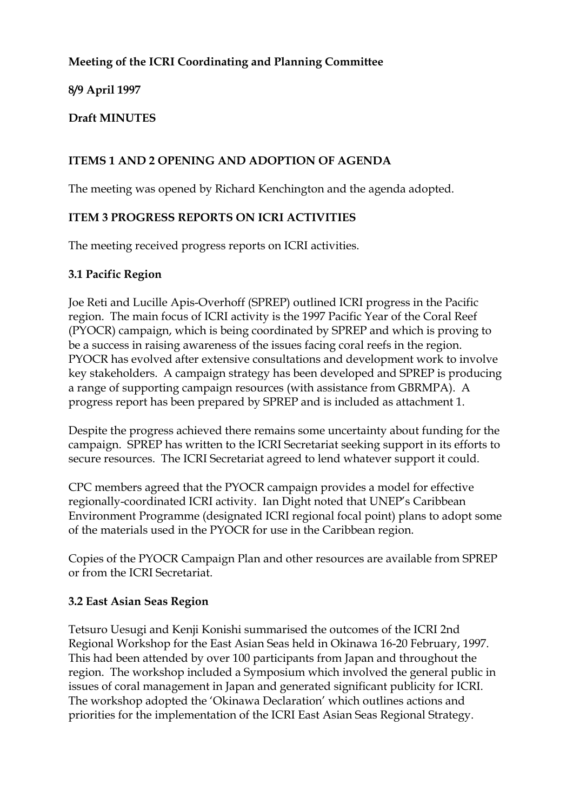## **Meeting of the ICRI Coordinating and Planning Committee**

## **8/9 April 1997**

### **Draft MINUTES**

## **ITEMS 1 AND 2 OPENING AND ADOPTION OF AGENDA**

The meeting was opened by Richard Kenchington and the agenda adopted.

## **ITEM 3 PROGRESS REPORTS ON ICRI ACTIVITIES**

The meeting received progress reports on ICRI activities.

### **3.1 Pacific Region**

Joe Reti and Lucille Apis-Overhoff (SPREP) outlined ICRI progress in the Pacific region. The main focus of ICRI activity is the 1997 Pacific Year of the Coral Reef (PYOCR) campaign, which is being coordinated by SPREP and which is proving to be a success in raising awareness of the issues facing coral reefs in the region. PYOCR has evolved after extensive consultations and development work to involve key stakeholders. A campaign strategy has been developed and SPREP is producing a range of supporting campaign resources (with assistance from GBRMPA). A progress report has been prepared by SPREP and is included as attachment 1.

Despite the progress achieved there remains some uncertainty about funding for the campaign. SPREP has written to the ICRI Secretariat seeking support in its efforts to secure resources. The ICRI Secretariat agreed to lend whatever support it could.

CPC members agreed that the PYOCR campaign provides a model for effective regionally-coordinated ICRI activity. Ian Dight noted that UNEP's Caribbean Environment Programme (designated ICRI regional focal point) plans to adopt some of the materials used in the PYOCR for use in the Caribbean region.

Copies of the PYOCR Campaign Plan and other resources are available from SPREP or from the ICRI Secretariat.

### **3.2 East Asian Seas Region**

Tetsuro Uesugi and Kenji Konishi summarised the outcomes of the ICRI 2nd Regional Workshop for the East Asian Seas held in Okinawa 16-20 February, 1997. This had been attended by over 100 participants from Japan and throughout the region. The workshop included a Symposium which involved the general public in issues of coral management in Japan and generated significant publicity for ICRI. The workshop adopted the 'Okinawa Declaration' which outlines actions and priorities for the implementation of the ICRI East Asian Seas Regional Strategy.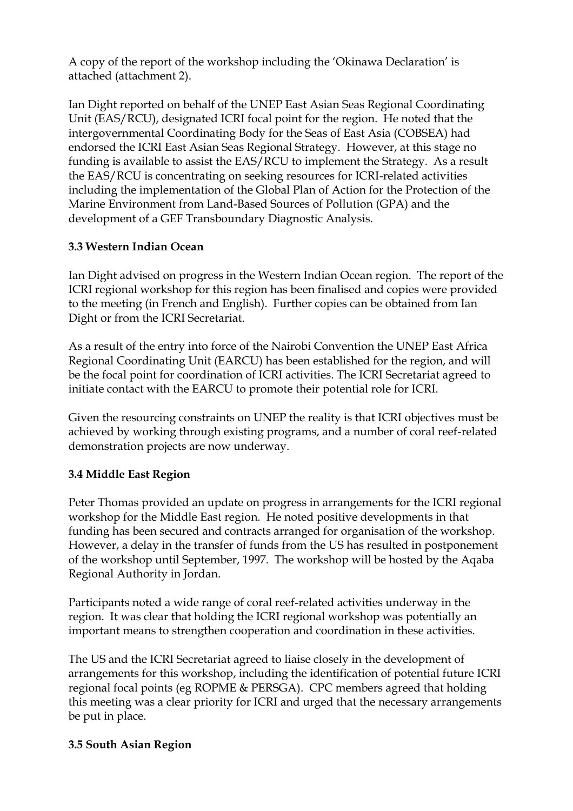A copy of the report of the workshop including the 'Okinawa Declaration' is attached (attachment 2).

Ian Dight reported on behalf of the UNEP East Asian Seas Regional Coordinating Unit (EAS/RCU), designated ICRI focal point for the region. He noted that the intergovernmental Coordinating Body for the Seas of East Asia (COBSEA) had endorsed the ICRI East Asian Seas Regional Strategy. However, at this stage no funding is available to assist the EAS/RCU to implement the Strategy. As a result the EAS/RCU is concentrating on seeking resources for ICRI-related activities including the implementation of the Global Plan of Action for the Protection of the Marine Environment from Land-Based Sources of Pollution (GPA) and the development of a GEF Transboundary Diagnostic Analysis.

# **3.3 Western Indian Ocean**

Ian Dight advised on progress in the Western Indian Ocean region. The report of the ICRI regional workshop for this region has been finalised and copies were provided to the meeting (in French and English). Further copies can be obtained from Ian Dight or from the ICRI Secretariat.

As a result of the entry into force of the Nairobi Convention the UNEP East Africa Regional Coordinating Unit (EARCU) has been established for the region, and will be the focal point for coordination of ICRI activities. The ICRI Secretariat agreed to initiate contact with the EARCU to promote their potential role for ICRI.

Given the resourcing constraints on UNEP the reality is that ICRI objectives must be achieved by working through existing programs, and a number of coral reef-related demonstration projects are now underway.

# **3.4 Middle East Region**

Peter Thomas provided an update on progress in arrangements for the ICRI regional workshop for the Middle East region. He noted positive developments in that funding has been secured and contracts arranged for organisation of the workshop. However, a delay in the transfer of funds from the US has resulted in postponement of the workshop until September, 1997. The workshop will be hosted by the Aqaba Regional Authority in Jordan.

Participants noted a wide range of coral reef-related activities underway in the region. It was clear that holding the ICRI regional workshop was potentially an important means to strengthen cooperation and coordination in these activities.

The US and the ICRI Secretariat agreed to liaise closely in the development of arrangements for this workshop, including the identification of potential future ICRI regional focal points (eg ROPME & PERSGA). CPC members agreed that holding this meeting was a clear priority for ICRI and urged that the necessary arrangements be put in place.

# **3.5 South Asian Region**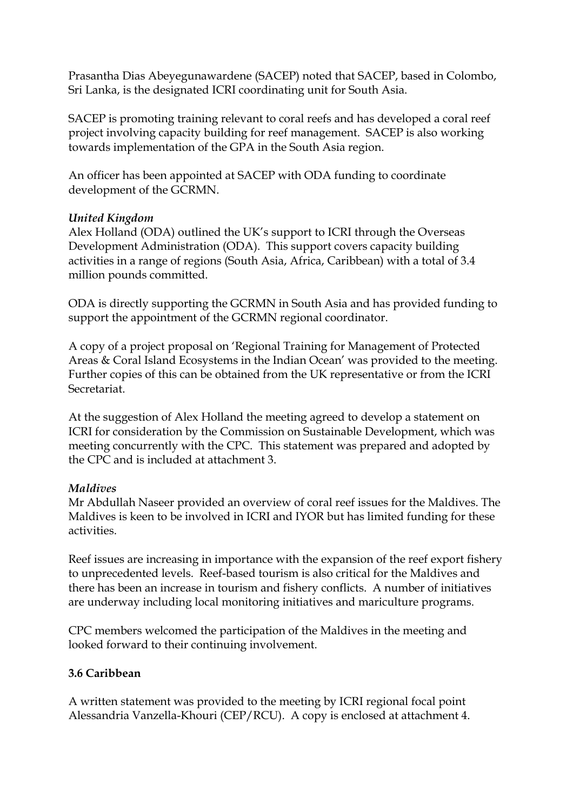Prasantha Dias Abeyegunawardene (SACEP) noted that SACEP, based in Colombo, Sri Lanka, is the designated ICRI coordinating unit for South Asia.

SACEP is promoting training relevant to coral reefs and has developed a coral reef project involving capacity building for reef management. SACEP is also working towards implementation of the GPA in the South Asia region.

An officer has been appointed at SACEP with ODA funding to coordinate development of the GCRMN.

## *United Kingdom*

Alex Holland (ODA) outlined the UK's support to ICRI through the Overseas Development Administration (ODA). This support covers capacity building activities in a range of regions (South Asia, Africa, Caribbean) with a total of 3.4 million pounds committed.

ODA is directly supporting the GCRMN in South Asia and has provided funding to support the appointment of the GCRMN regional coordinator.

A copy of a project proposal on 'Regional Training for Management of Protected Areas & Coral Island Ecosystems in the Indian Ocean' was provided to the meeting. Further copies of this can be obtained from the UK representative or from the ICRI Secretariat.

At the suggestion of Alex Holland the meeting agreed to develop a statement on ICRI for consideration by the Commission on Sustainable Development, which was meeting concurrently with the CPC. This statement was prepared and adopted by the CPC and is included at attachment 3.

### *Maldives*

Mr Abdullah Naseer provided an overview of coral reef issues for the Maldives. The Maldives is keen to be involved in ICRI and IYOR but has limited funding for these activities.

Reef issues are increasing in importance with the expansion of the reef export fishery to unprecedented levels. Reef-based tourism is also critical for the Maldives and there has been an increase in tourism and fishery conflicts. A number of initiatives are underway including local monitoring initiatives and mariculture programs.

CPC members welcomed the participation of the Maldives in the meeting and looked forward to their continuing involvement.

# **3.6 Caribbean**

A written statement was provided to the meeting by ICRI regional focal point Alessandria Vanzella-Khouri (CEP/RCU). A copy is enclosed at attachment 4.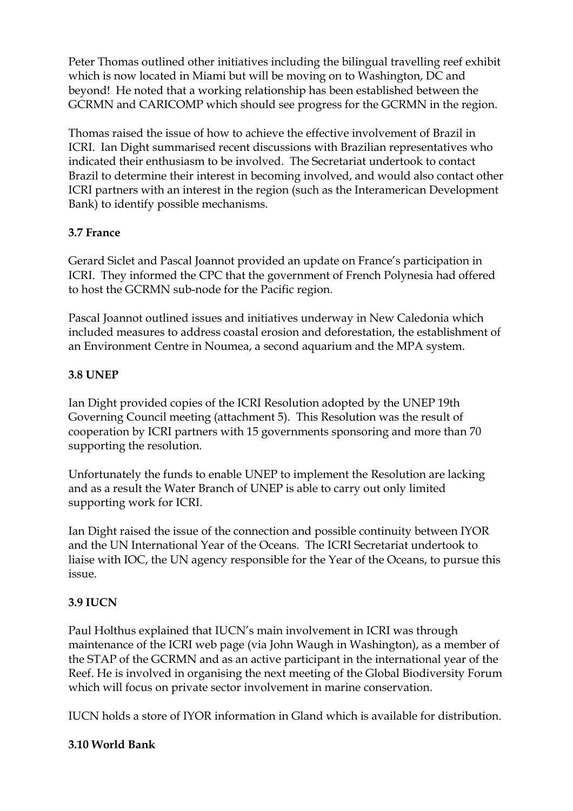Peter Thomas outlined other initiatives including the bilingual travelling reef exhibit which is now located in Miami but will be moving on to Washington, DC and beyond! He noted that a working relationship has been established between the GCRMN and CARICOMP which should see progress for the GCRMN in the region.

Thomas raised the issue of how to achieve the effective involvement of Brazil in ICRI. Ian Dight summarised recent discussions with Brazilian representatives who indicated their enthusiasm to be involved. The Secretariat undertook to contact Brazil to determine their interest in becoming involved, and would also contact other ICRI partners with an interest in the region (such as the Interamerican Development Bank) to identify possible mechanisms.

## **3.7 France**

Gerard Siclet and Pascal Joannot provided an update on France's participation in ICRI. They informed the CPC that the government of French Polynesia had offered to host the GCRMN sub-node for the Pacific region.

Pascal Joannot outlined issues and initiatives underway in New Caledonia which included measures to address coastal erosion and deforestation, the establishment of an Environment Centre in Noumea, a second aquarium and the MPA system.

# **3.8 UNEP**

Ian Dight provided copies of the ICRI Resolution adopted by the UNEP 19th Governing Council meeting (attachment 5). This Resolution was the result of cooperation by ICRI partners with 15 governments sponsoring and more than 70 supporting the resolution.

Unfortunately the funds to enable UNEP to implement the Resolution are lacking and as a result the Water Branch of UNEP is able to carry out only limited supporting work for ICRI.

Ian Dight raised the issue of the connection and possible continuity between IYOR and the UN International Year of the Oceans. The ICRI Secretariat undertook to liaise with IOC, the UN agency responsible for the Year of the Oceans, to pursue this issue.

# **3.9 IUCN**

Paul Holthus explained that IUCN's main involvement in ICRI was through maintenance of the ICRI web page (via John Waugh in Washington), as a member of the STAP of the GCRMN and as an active participant in the international year of the Reef. He is involved in organising the next meeting of the Global Biodiversity Forum which will focus on private sector involvement in marine conservation.

IUCN holds a store of IYOR information in Gland which is available for distribution.

# **3.10 World Bank**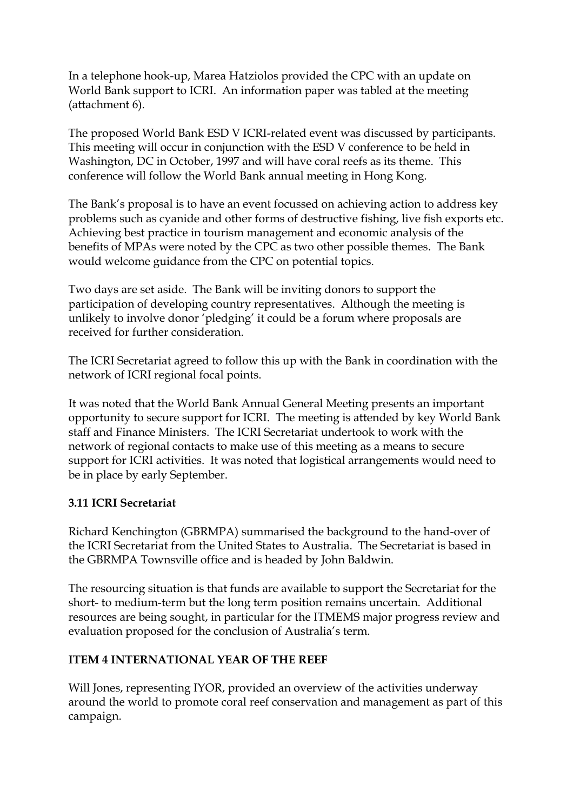In a telephone hook-up, Marea Hatziolos provided the CPC with an update on World Bank support to ICRI. An information paper was tabled at the meeting (attachment 6).

The proposed World Bank ESD V ICRI-related event was discussed by participants. This meeting will occur in conjunction with the ESD V conference to be held in Washington, DC in October, 1997 and will have coral reefs as its theme. This conference will follow the World Bank annual meeting in Hong Kong.

The Bank's proposal is to have an event focussed on achieving action to address key problems such as cyanide and other forms of destructive fishing, live fish exports etc. Achieving best practice in tourism management and economic analysis of the benefits of MPAs were noted by the CPC as two other possible themes. The Bank would welcome guidance from the CPC on potential topics.

Two days are set aside. The Bank will be inviting donors to support the participation of developing country representatives. Although the meeting is unlikely to involve donor 'pledging' it could be a forum where proposals are received for further consideration.

The ICRI Secretariat agreed to follow this up with the Bank in coordination with the network of ICRI regional focal points.

It was noted that the World Bank Annual General Meeting presents an important opportunity to secure support for ICRI. The meeting is attended by key World Bank staff and Finance Ministers. The ICRI Secretariat undertook to work with the network of regional contacts to make use of this meeting as a means to secure support for ICRI activities. It was noted that logistical arrangements would need to be in place by early September.

### **3.11 ICRI Secretariat**

Richard Kenchington (GBRMPA) summarised the background to the hand-over of the ICRI Secretariat from the United States to Australia. The Secretariat is based in the GBRMPA Townsville office and is headed by John Baldwin.

The resourcing situation is that funds are available to support the Secretariat for the short- to medium-term but the long term position remains uncertain. Additional resources are being sought, in particular for the ITMEMS major progress review and evaluation proposed for the conclusion of Australia's term.

### **ITEM 4 INTERNATIONAL YEAR OF THE REEF**

Will Jones, representing IYOR, provided an overview of the activities underway around the world to promote coral reef conservation and management as part of this campaign.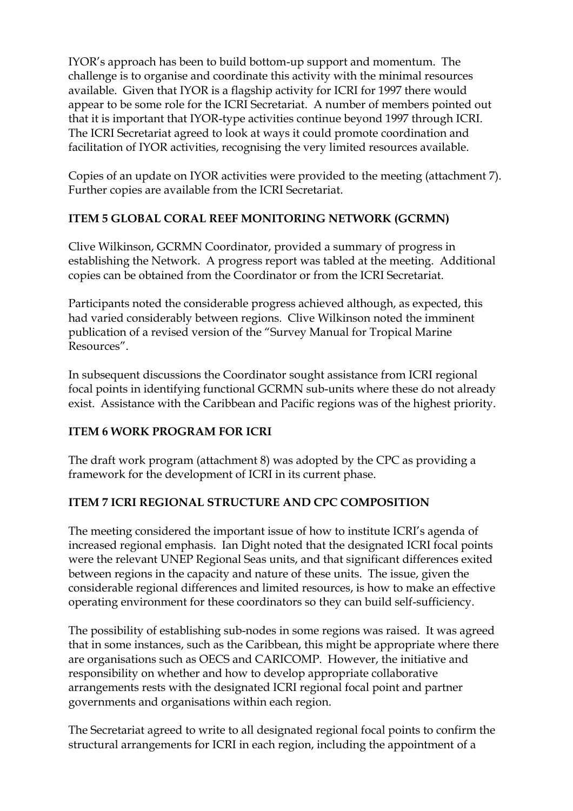IYOR's approach has been to build bottom-up support and momentum. The challenge is to organise and coordinate this activity with the minimal resources available. Given that IYOR is a flagship activity for ICRI for 1997 there would appear to be some role for the ICRI Secretariat. A number of members pointed out that it is important that IYOR-type activities continue beyond 1997 through ICRI. The ICRI Secretariat agreed to look at ways it could promote coordination and facilitation of IYOR activities, recognising the very limited resources available.

Copies of an update on IYOR activities were provided to the meeting (attachment 7). Further copies are available from the ICRI Secretariat.

# **ITEM 5 GLOBAL CORAL REEF MONITORING NETWORK (GCRMN)**

Clive Wilkinson, GCRMN Coordinator, provided a summary of progress in establishing the Network. A progress report was tabled at the meeting. Additional copies can be obtained from the Coordinator or from the ICRI Secretariat.

Participants noted the considerable progress achieved although, as expected, this had varied considerably between regions. Clive Wilkinson noted the imminent publication of a revised version of the "Survey Manual for Tropical Marine Resources".

In subsequent discussions the Coordinator sought assistance from ICRI regional focal points in identifying functional GCRMN sub-units where these do not already exist. Assistance with the Caribbean and Pacific regions was of the highest priority.

# **ITEM 6 WORK PROGRAM FOR ICRI**

The draft work program (attachment 8) was adopted by the CPC as providing a framework for the development of ICRI in its current phase.

# **ITEM 7 ICRI REGIONAL STRUCTURE AND CPC COMPOSITION**

The meeting considered the important issue of how to institute ICRI's agenda of increased regional emphasis. Ian Dight noted that the designated ICRI focal points were the relevant UNEP Regional Seas units, and that significant differences exited between regions in the capacity and nature of these units. The issue, given the considerable regional differences and limited resources, is how to make an effective operating environment for these coordinators so they can build self-sufficiency.

The possibility of establishing sub-nodes in some regions was raised. It was agreed that in some instances, such as the Caribbean, this might be appropriate where there are organisations such as OECS and CARICOMP. However, the initiative and responsibility on whether and how to develop appropriate collaborative arrangements rests with the designated ICRI regional focal point and partner governments and organisations within each region.

The Secretariat agreed to write to all designated regional focal points to confirm the structural arrangements for ICRI in each region, including the appointment of a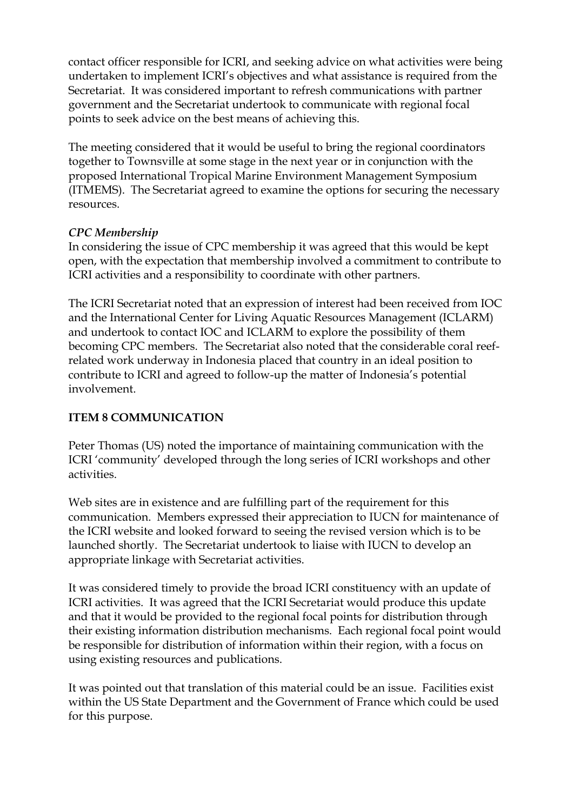contact officer responsible for ICRI, and seeking advice on what activities were being undertaken to implement ICRI's objectives and what assistance is required from the Secretariat. It was considered important to refresh communications with partner government and the Secretariat undertook to communicate with regional focal points to seek advice on the best means of achieving this.

The meeting considered that it would be useful to bring the regional coordinators together to Townsville at some stage in the next year or in conjunction with the proposed International Tropical Marine Environment Management Symposium (ITMEMS). The Secretariat agreed to examine the options for securing the necessary resources.

### *CPC Membership*

In considering the issue of CPC membership it was agreed that this would be kept open, with the expectation that membership involved a commitment to contribute to ICRI activities and a responsibility to coordinate with other partners.

The ICRI Secretariat noted that an expression of interest had been received from IOC and the International Center for Living Aquatic Resources Management (ICLARM) and undertook to contact IOC and ICLARM to explore the possibility of them becoming CPC members. The Secretariat also noted that the considerable coral reefrelated work underway in Indonesia placed that country in an ideal position to contribute to ICRI and agreed to follow-up the matter of Indonesia's potential involvement.

# **ITEM 8 COMMUNICATION**

Peter Thomas (US) noted the importance of maintaining communication with the ICRI 'community' developed through the long series of ICRI workshops and other activities.

Web sites are in existence and are fulfilling part of the requirement for this communication. Members expressed their appreciation to IUCN for maintenance of the ICRI website and looked forward to seeing the revised version which is to be launched shortly. The Secretariat undertook to liaise with IUCN to develop an appropriate linkage with Secretariat activities.

It was considered timely to provide the broad ICRI constituency with an update of ICRI activities. It was agreed that the ICRI Secretariat would produce this update and that it would be provided to the regional focal points for distribution through their existing information distribution mechanisms. Each regional focal point would be responsible for distribution of information within their region, with a focus on using existing resources and publications.

It was pointed out that translation of this material could be an issue. Facilities exist within the US State Department and the Government of France which could be used for this purpose.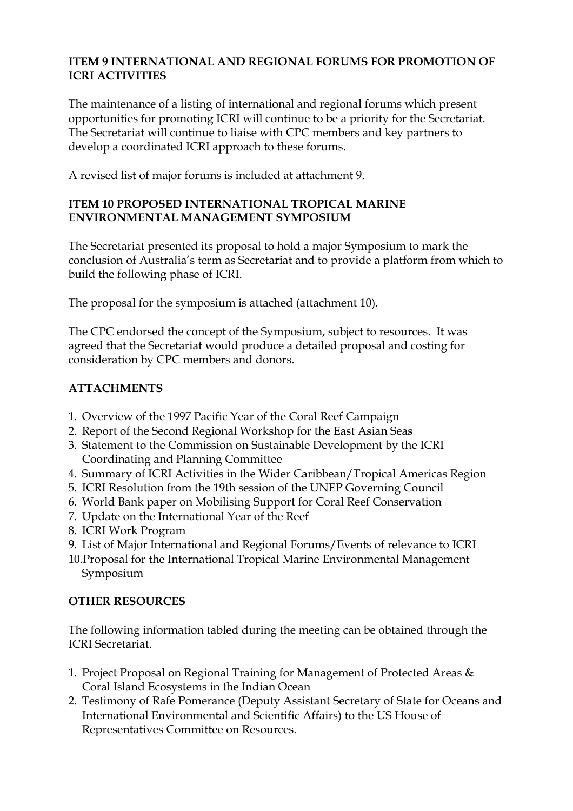#### **ITEM 9 INTERNATIONAL AND REGIONAL FORUMS FOR PROMOTION OF ICRI ACTIVITIES**

The maintenance of a listing of international and regional forums which present opportunities for promoting ICRI will continue to be a priority for the Secretariat. The Secretariat will continue to liaise with CPC members and key partners to develop a coordinated ICRI approach to these forums.

A revised list of major forums is included at attachment 9.

### **ITEM 10 PROPOSED INTERNATIONAL TROPICAL MARINE ENVIRONMENTAL MANAGEMENT SYMPOSIUM**

The Secretariat presented its proposal to hold a major Symposium to mark the conclusion of Australia's term as Secretariat and to provide a platform from which to build the following phase of ICRI.

The proposal for the symposium is attached (attachment 10).

The CPC endorsed the concept of the Symposium, subject to resources. It was agreed that the Secretariat would produce a detailed proposal and costing for consideration by CPC members and donors.

# **ATTACHMENTS**

- 1. Overview of the 1997 Pacific Year of the Coral Reef Campaign
- 2. Report of the Second Regional Workshop for the East Asian Seas
- 3. Statement to the Commission on Sustainable Development by the ICRI Coordinating and Planning Committee
- 4. Summary of ICRI Activities in the Wider Caribbean/Tropical Americas Region
- 5. ICRI Resolution from the 19th session of the UNEP Governing Council
- 6. World Bank paper on Mobilising Support for Coral Reef Conservation
- 7. Update on the International Year of the Reef
- 8. ICRI Work Program
- 9. List of Major International and Regional Forums/Events of relevance to ICRI
- 10.Proposal for the International Tropical Marine Environmental Management Symposium

### **OTHER RESOURCES**

The following information tabled during the meeting can be obtained through the ICRI Secretariat.

- 1. Project Proposal on Regional Training for Management of Protected Areas & Coral Island Ecosystems in the Indian Ocean
- 2. Testimony of Rafe Pomerance (Deputy Assistant Secretary of State for Oceans and International Environmental and Scientific Affairs) to the US House of Representatives Committee on Resources.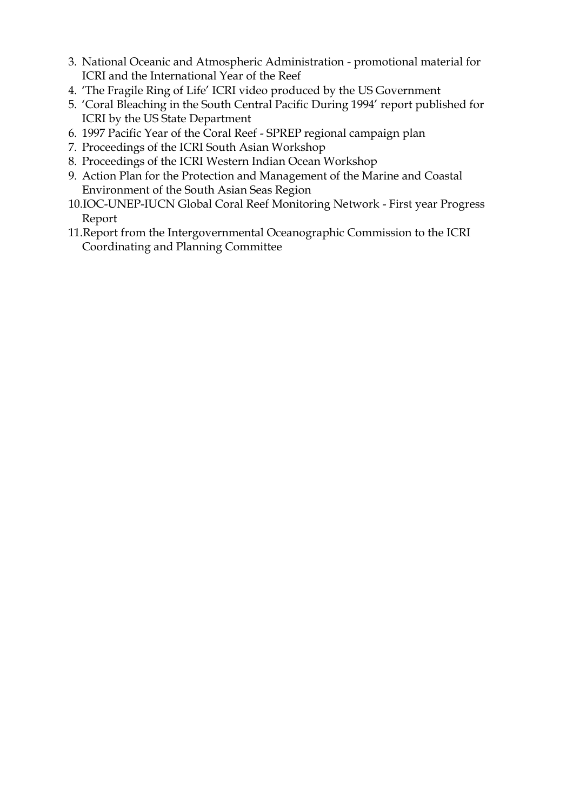- 3. National Oceanic and Atmospheric Administration promotional material for ICRI and the International Year of the Reef
- 4. 'The Fragile Ring of Life' ICRI video produced by the US Government
- 5. 'Coral Bleaching in the South Central Pacific During 1994' report published for ICRI by the US State Department
- 6. 1997 Pacific Year of the Coral Reef SPREP regional campaign plan
- 7. Proceedings of the ICRI South Asian Workshop
- 8. Proceedings of the ICRI Western Indian Ocean Workshop
- 9. Action Plan for the Protection and Management of the Marine and Coastal Environment of the South Asian Seas Region
- 10.IOC-UNEP-IUCN Global Coral Reef Monitoring Network First year Progress Report
- 11.Report from the Intergovernmental Oceanographic Commission to the ICRI Coordinating and Planning Committee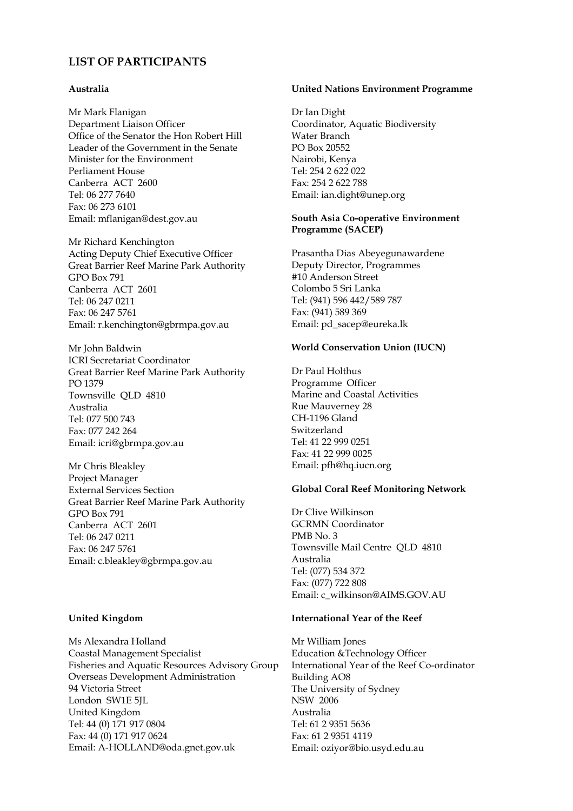#### **LIST OF PARTICIPANTS**

#### **Australia**

Mr Mark Flanigan Department Liaison Officer Office of the Senator the Hon Robert Hill Leader of the Government in the Senate Minister for the Environment Perliament House Canberra ACT 2600 Tel: 06 277 7640 Fax: 06 273 6101 Email: mflanigan@dest.gov.au

Mr Richard Kenchington Acting Deputy Chief Executive Officer Great Barrier Reef Marine Park Authority GPO Box 791 Canberra ACT 2601 Tel: 06 247 0211 Fax: 06 247 5761 Email: r.kenchington@gbrmpa.gov.au

Mr John Baldwin ICRI Secretariat Coordinator Great Barrier Reef Marine Park Authority PO 1379 Townsville QLD 4810 Australia Tel: 077 500 743 Fax: 077 242 264 Email: icri@gbrmpa.gov.au

Mr Chris Bleakley Project Manager External Services Section Great Barrier Reef Marine Park Authority GPO Box 791 Canberra ACT 2601 Tel: 06 247 0211 Fax: 06 247 5761 Email: c.bleakley@gbrmpa.gov.au

#### **United Kingdom**

Ms Alexandra Holland Coastal Management Specialist Fisheries and Aquatic Resources Advisory Group Overseas Development Administration 94 Victoria Street London SW1E 5JL United Kingdom Tel: 44 (0) 171 917 0804 Fax: 44 (0) 171 917 0624 Email: A-HOLLAND@oda.gnet.gov.uk

#### **United Nations Environment Programme**

Dr Ian Dight Coordinator, Aquatic Biodiversity Water Branch PO Box 20552 Nairobi, Kenya Tel: 254 2 622 022 Fax: 254 2 622 788 Email: ian.dight@unep.org

#### **South Asia Co-operative Environment Programme (SACEP)**

Prasantha Dias Abeyegunawardene Deputy Director, Programmes #10 Anderson Street Colombo 5 Sri Lanka Tel: (941) 596 442/589 787 Fax: (941) 589 369 Email: pd\_sacep@eureka.lk

#### **World Conservation Union (IUCN)**

Dr Paul Holthus Programme Officer Marine and Coastal Activities Rue Mauverney 28 CH-1196 Gland Switzerland Tel: 41 22 999 0251 Fax: 41 22 999 0025 Email: pfh@hq.iucn.org

#### **Global Coral Reef Monitoring Network**

Dr Clive Wilkinson GCRMN Coordinator PMB No. 3 Townsville Mail Centre QLD 4810 Australia Tel: (077) 534 372 Fax: (077) 722 808 Email: c\_wilkinson@AIMS.GOV.AU

#### **International Year of the Reef**

Mr William Jones Education &Technology Officer International Year of the Reef Co-ordinator Building AO8 The University of Sydney NSW 2006 Australia Tel: 61 2 9351 5636 Fax: 61 2 9351 4119 Email: oziyor@bio.usyd.edu.au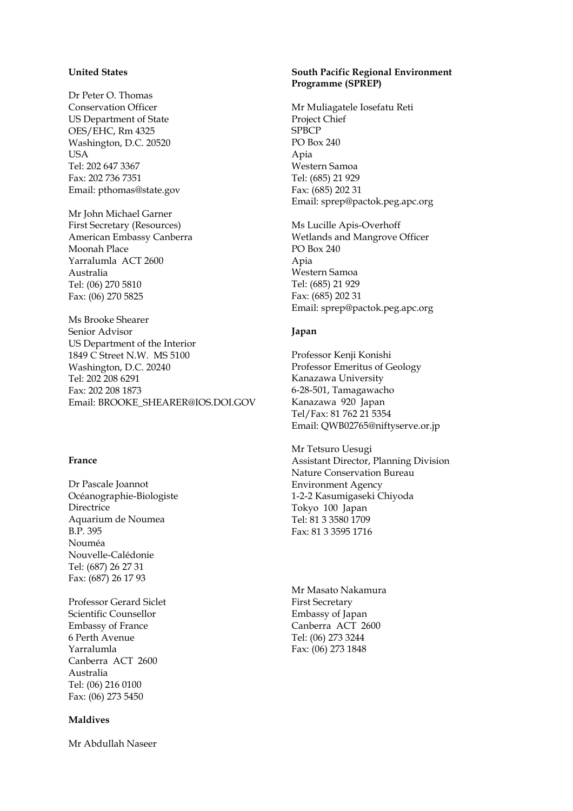#### **United States**

Dr Peter O. Thomas Conservation Officer US Department of State OES/EHC, Rm 4325 Washington, D.C. 20520 **USA** Tel: 202 647 3367 Fax: 202 736 7351 Email: pthomas@state.gov

Mr John Michael Garner First Secretary (Resources) American Embassy Canberra Moonah Place Yarralumla ACT 2600 Australia Tel: (06) 270 5810 Fax: (06) 270 5825

Ms Brooke Shearer Senior Advisor US Department of the Interior 1849 C Street N.W. MS 5100 Washington, D.C. 20240 Tel: 202 208 6291 Fax: 202 208 1873 Email: BROOKE\_SHEARER@IOS.DOI.GOV

#### **France**

Dr Pascale Joannot Océanographie-Biologiste **Directrice** Aquarium de Noumea B.P. 395 Nouméa Nouvelle-Calédonie Tel: (687) 26 27 31 Fax: (687) 26 17 93

Professor Gerard Siclet Scientific Counsellor Embassy of France 6 Perth Avenue Yarralumla Canberra ACT 2600 Australia Tel: (06) 216 0100 Fax: (06) 273 5450

#### **Maldives**

Mr Abdullah Naseer

#### **South Pacific Regional Environment Programme (SPREP)**

Mr Muliagatele Iosefatu Reti Project Chief **SPBCP** PO Box 240 Apia Western Samoa Tel: (685) 21 929 Fax: (685) 202 31 Email: sprep@pactok.peg.apc.org

Ms Lucille Apis-Overhoff Wetlands and Mangrove Officer PO Box 240 Apia Western Samoa Tel: (685) 21 929 Fax: (685) 202 31 Email: sprep@pactok.peg.apc.org

#### **Japan**

Professor Kenji Konishi Professor Emeritus of Geology Kanazawa University 6-28-501, Tamagawacho Kanazawa 920 Japan Tel/Fax: 81 762 21 5354 Email: QWB02765@niftyserve.or.jp

Mr Tetsuro Uesugi Assistant Director, Planning Division Nature Conservation Bureau Environment Agency 1-2-2 Kasumigaseki Chiyoda Tokyo 100 Japan Tel: 81 3 3580 1709 Fax: 81 3 3595 1716

Mr Masato Nakamura First Secretary Embassy of Japan Canberra ACT 2600 Tel: (06) 273 3244 Fax: (06) 273 1848